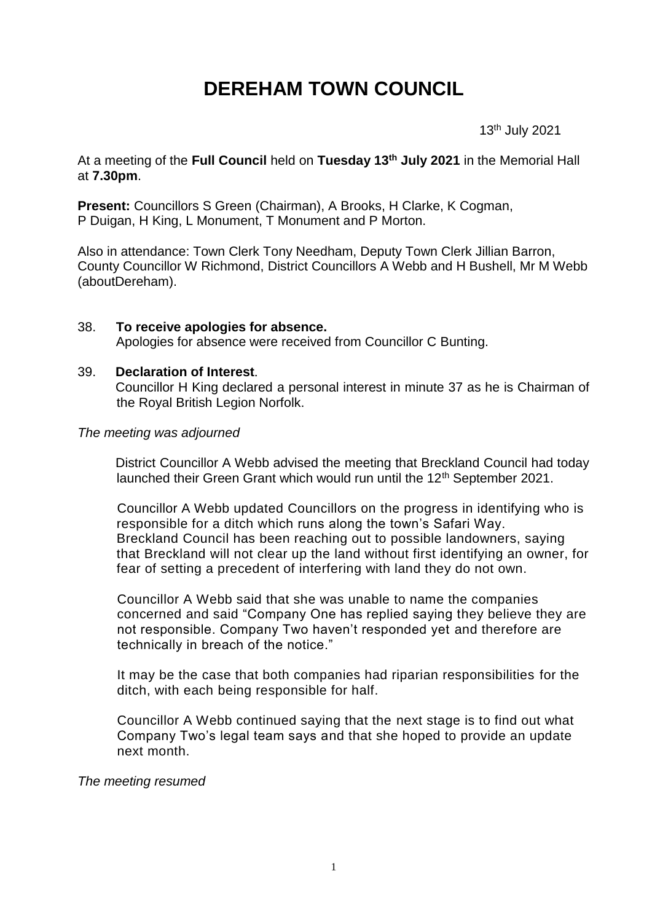# **DEREHAM TOWN COUNCIL**

13th July 2021

At a meeting of the **Full Council** held on **Tuesday 13th July 2021** in the Memorial Hall at **7.30pm**.

**Present:** Councillors S Green (Chairman), A Brooks, H Clarke, K Cogman, P Duigan, H King, L Monument, T Monument and P Morton.

Also in attendance: Town Clerk Tony Needham, Deputy Town Clerk Jillian Barron, County Councillor W Richmond, District Councillors A Webb and H Bushell, Mr M Webb (aboutDereham).

#### 38. **To receive apologies for absence.** Apologies for absence were received from Councillor C Bunting.

#### 39. **Declaration of Interest**.

Councillor H King declared a personal interest in minute 37 as he is Chairman of the Royal British Legion Norfolk.

#### *The meeting was adjourned*

District Councillor A Webb advised the meeting that Breckland Council had today launched their Green Grant which would run until the 12<sup>th</sup> September 2021.

Councillor A Webb updated Councillors on the progress in identifying who is responsible for a ditch which runs along the town's Safari Way. Breckland Council has been reaching out to possible landowners, saying that Breckland will not clear up the land without first identifying an owner, for fear of setting a precedent of interfering with land they do not own.

Councillor A Webb said that she was unable to name the companies concerned and said "Company One has replied saying they believe they are not responsible. Company Two haven't responded yet and therefore are technically in breach of the notice."

It may be the case that both companies had riparian responsibilities for the ditch, with each being responsible for half.

Councillor A Webb continued saying that the next stage is to find out what Company Two's legal team says and that she hoped to provide an update next month.

*The meeting resumed*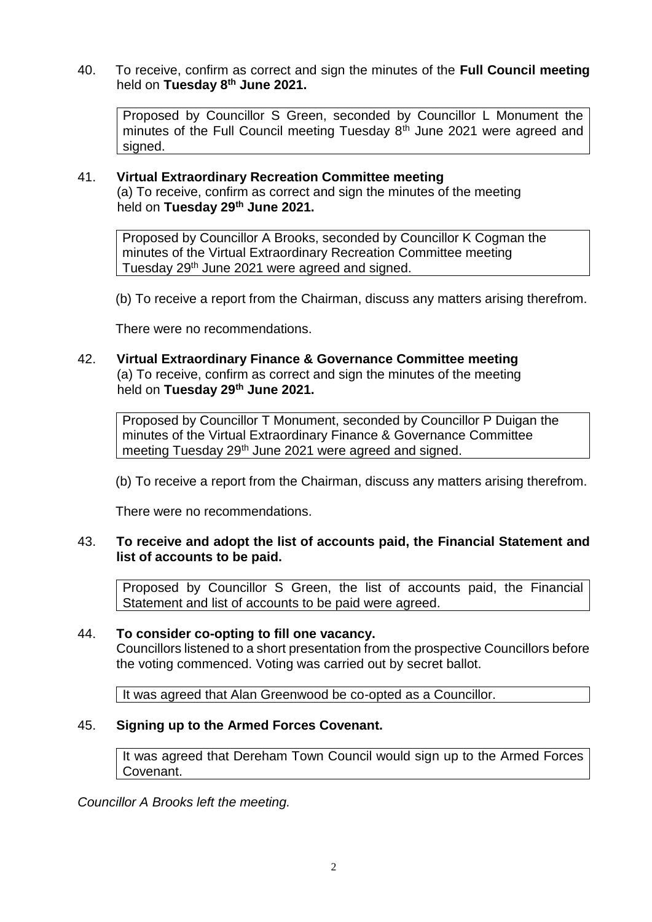40. To receive, confirm as correct and sign the minutes of the **Full Council meeting** held on **Tuesday 8th June 2021.**

Proposed by Councillor S Green, seconded by Councillor L Monument the minutes of the Full Council meeting Tuesday  $8<sup>th</sup>$  June 2021 were agreed and signed.

# 41. **Virtual Extraordinary Recreation Committee meeting**

(a) To receive, confirm as correct and sign the minutes of the meeting held on **Tuesday 29th June 2021.**

Proposed by Councillor A Brooks, seconded by Councillor K Cogman the minutes of the Virtual Extraordinary Recreation Committee meeting Tuesday 29<sup>th</sup> June 2021 were agreed and signed.

(b) To receive a report from the Chairman, discuss any matters arising therefrom.

There were no recommendations.

#### 42. **Virtual Extraordinary Finance & Governance Committee meeting** (a) To receive, confirm as correct and sign the minutes of the meeting held on **Tuesday 29th June 2021.**

Proposed by Councillor T Monument, seconded by Councillor P Duigan the minutes of the Virtual Extraordinary Finance & Governance Committee meeting Tuesday 29<sup>th</sup> June 2021 were agreed and signed.

(b) To receive a report from the Chairman, discuss any matters arising therefrom.

There were no recommendations.

# 43. **To receive and adopt the list of accounts paid, the Financial Statement and list of accounts to be paid.**

Proposed by Councillor S Green, the list of accounts paid, the Financial Statement and list of accounts to be paid were agreed.

### 44. **To consider co-opting to fill one vacancy.**

Councillors listened to a short presentation from the prospective Councillors before the voting commenced. Voting was carried out by secret ballot.

It was agreed that Alan Greenwood be co-opted as a Councillor.

# 45. **Signing up to the Armed Forces Covenant.**

It was agreed that Dereham Town Council would sign up to the Armed Forces Covenant.

*Councillor A Brooks left the meeting.*